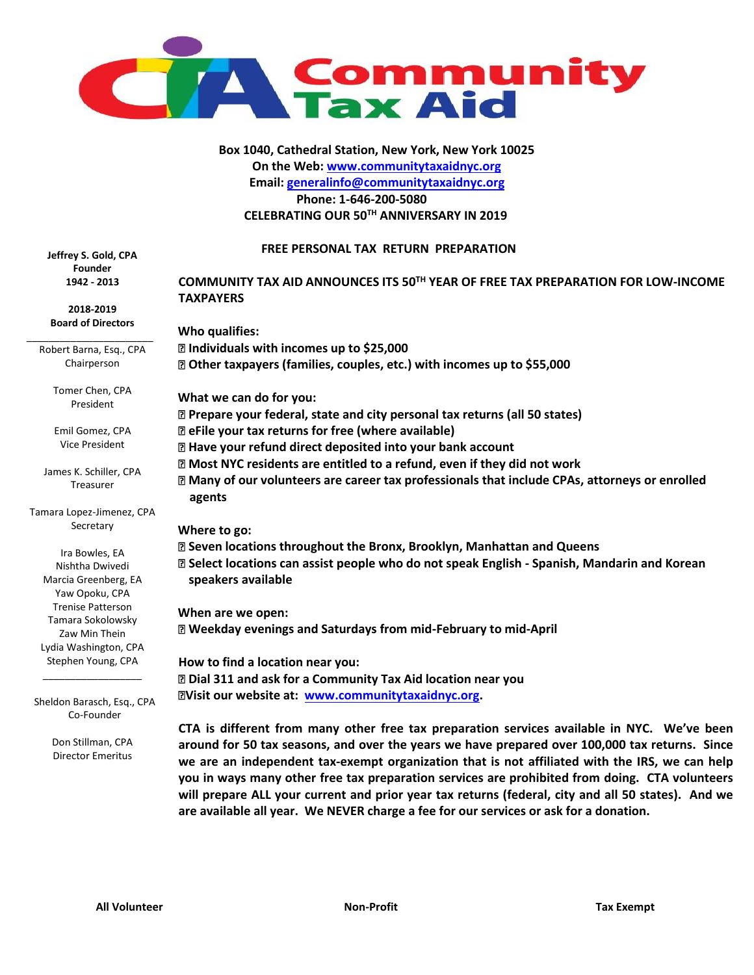

**Box 1040, Cathedral Station, New York, New York 10025 On the Web: [www.communitytaxaidnyc.org](http://www.communitytaxaidnyc.org/) Email: generalinfo@communitytaxaidnyc.org Phone: 1-646-200-5080 CELEBRATING OUR 50TH ANNIVERSARY IN 2019**

### **FREE PERSONAL TAX RETURN PREPARATION**

**Jeffrey S. Gold, CPA Founder 1942 - 2013**

**2018-2019 Board of Directors** \_\_\_\_\_\_\_\_\_\_\_\_\_\_\_\_\_\_\_\_\_\_\_

Robert Barna, Esq., CPA Chairperson

> Tomer Chen, CPA President

> Emil Gomez, CPA Vice President

James K. Schiller, CPA Treasurer

Tamara Lopez-Jimenez, CPA Secretary

Ira Bowles, EA Nishtha Dwivedi Marcia Greenberg, EA Yaw Opoku, CPA Trenise Patterson Tamara Sokolowsky Zaw Min Thein Lydia Washington, CPA Stephen Young, CPA

Sheldon Barasch, Esq., CPA Co-Founder

\_\_\_\_\_\_\_\_\_\_\_\_\_\_\_\_\_\_

Don Stillman, CPA Director Emeritus

**COMMUNITY TAX AID ANNOUNCES ITS 50TH YEAR OF FREE TAX PREPARATION FOR LOW-INCOME TAXPAYERS** 

**Who qualifies: Individuals with incomes up to \$25,000 Other taxpayers (families, couples, etc.) with incomes up to \$55,000 What we can do for you: Prepare your federal, state and city personal tax returns (all 50 states)** 

**eFile your tax returns for free (where available)** 

**Have your refund direct deposited into your bank account** 

**Most NYC residents are entitled to a refund, even if they did not work** 

**Many of our volunteers are career tax professionals that include CPAs, attorneys or enrolled agents** 

### **Where to go:**

**Seven locations throughout the Bronx, Brooklyn, Manhattan and Queens Select locations can assist people who do not speak English - Spanish, Mandarin and Korean lllspeakers available**

**When are we open: Weekday evenings and Saturdays from mid-February to mid-April** 

**How to find a location near you: Dial 311 and ask for a Community Tax Aid location near you Visit our website at: www.communitytaxaidnyc.org.**

**CTA is different from many other free tax preparation services available in NYC. We've been around for 50 tax seasons, and over the years we have prepared over 100,000 tax returns. Since we are an independent tax-exempt organization that is not affiliated with the IRS, we can help you in ways many other free tax preparation services are prohibited from doing. CTA volunteers will prepare ALL your current and prior year tax returns (federal, city and all 50 states). And we are available all year. We NEVER charge a fee for our services or ask for a donation.**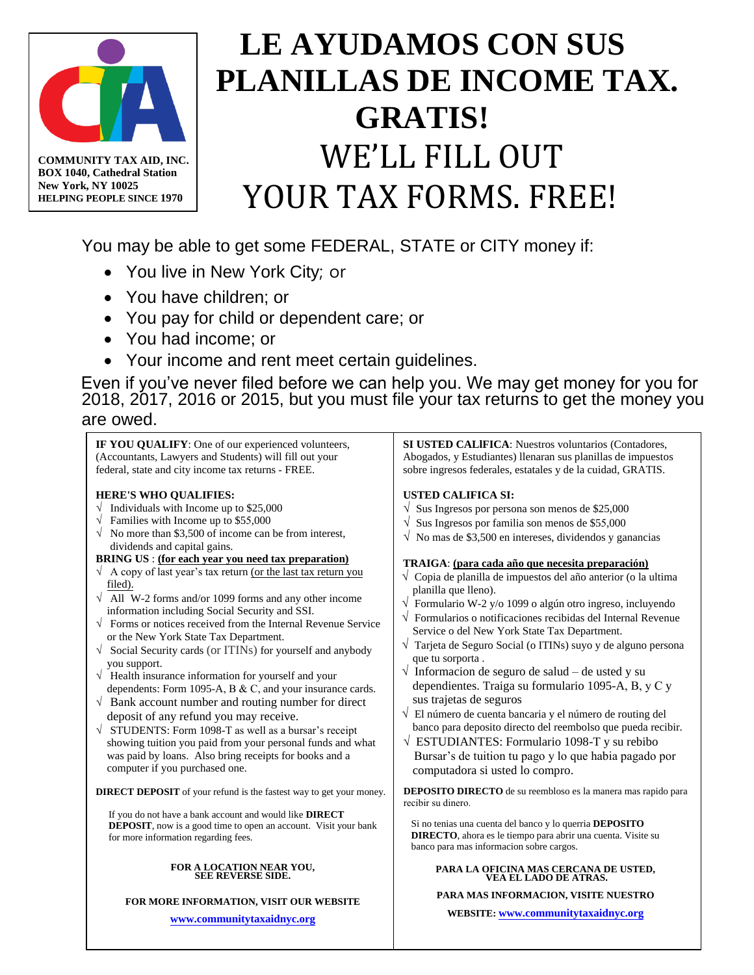

**BOX 1040, Cathedral Station New York, NY 10025 HELPING PEOPLE SINCE 1970**

# **LE AYUDAMOS CON SUS PLANILLAS DE INCOME TAX. GRATIS!** WE'LL FILL OUT YOUR TAX FORMS. FREE!

You may be able to get some FEDERAL, STATE or CITY money if:

- You live in New York City; or
- You have children; or
- You pay for child or dependent care; or
- You had income; or
- Your income and rent meet certain guidelines.

Even if you've never filed before we can help you. We may get money for you for 2018, 2017, 2016 or 2015, but you must file your tax returns to get the money you are owed.

**IF YOU QUALIFY**: One of our experienced volunteers, (Accountants, Lawyers and Students) will fill out your federal, state and city income tax returns - FREE.

### **HERE'S WHO QUALIFIES:**

- $\sqrt{\phantom{a}}$  Individuals with Income up to \$25,000
- $\sqrt{\frac{255,000}{2}}$
- $\sqrt{\ }$  No more than \$3,500 of income can be from interest, dividends and capital gains.

### **BRING US** : **(for each year you need tax preparation)**

- $\sqrt{ }$  A copy of last year's tax return (or the last tax return you filed).
- $\sqrt{\phantom{a}}$  All W-2 forms and/or 1099 forms and any other income information including Social Security and SSI.
- √ Forms or notices received from the Internal Revenue Service or the New York State Tax Department.
- √ Social Security cards (or ITINs) for yourself and anybody you support.
- √ Health insurance information for yourself and your dependents: Form 1095-A, B & C, and your insurance cards.
- $\sqrt{\ }$  Bank account number and routing number for direct deposit of any refund you may receive.
- √ STUDENTS: Form 1098-T as well as a bursar's receipt showing tuition you paid from your personal funds and what was paid by loans. Also bring receipts for books and a computer if you purchased one.

**DIRECT DEPOSIT** of your refund is the fastest way to get your money.

If you do not have a bank account and would like **DIRECT DEPOSIT**, now is a good time to open an account. Visit your bank for more information regarding fees.

### **FOR A LOCATION NEAR YOU, SEE REVERSE SIDE.**

### **FOR MORE INFORMATION, VISIT OUR WEBSITE**

**www.communitytaxaidnyc.org**

**SI USTED CALlFICA**: Nuestros voluntarios (Contadores, Abogados, y Estudiantes) llenaran sus planillas de impuestos sobre ingresos federales, estatales y de la cuidad, GRATIS.

### **USTED CALIFICA SI:**

- $\sqrt{\ }$  Sus Ingresos por persona son menos de \$25,000
- $\sqrt{\ }$  Sus Ingresos por familia son menos de \$55,000
- $\sqrt{\ }$  No mas de \$3,500 en intereses, dividendos y ganancias

### **TRAIGA**: **(para cada año que necesita preparación)**

- √ Copia de planilla de impuestos del año anterior (o la ultima planilla que lleno).
- √ Formulario W-2 y/o 1099 o algún otro ingreso, incluyendo
- $\sqrt{\ }$  Formularios o notificaciones recibidas del Internal Revenue Service o del New York State Tax Department.
- √ Tarjeta de Seguro Social (o ITINs) suyo y de alguno persona que tu sorporta .
- √ Informacion de seguro de salud de usted y su dependientes. Traiga su formulario 1095-A, B, y C y sus trajetas de seguros
- √ El número de cuenta bancaria y el número de routing del banco para deposito directo del reembolso que pueda recibir.
- $\sqrt{\text{ESTUDIANTES}}$ : Formulario 1098-T y su rebibo Bursar's de tuition tu pago y lo que habia pagado por computadora si usted lo compro.

**DEPOSITO DIRECTO** de su reembloso es la manera mas rapido para recibir su dinero.

Si no tenias una cuenta del banco y lo querria **DEPOSITO DIRECTO**, ahora es le tiempo para abrir una cuenta. Visite su banco para mas informacion sobre cargos.

## **PARA LA OFICINA MAS CERCANA DE USTED, [VEA EL LADO DE ATRAS.](http://communities.msn.com/ctanyc)**

**PARA MAS INFORMACION, VISITE NUESTRO** 

**WEBSITE: www.communitytaxaidnyc.org**